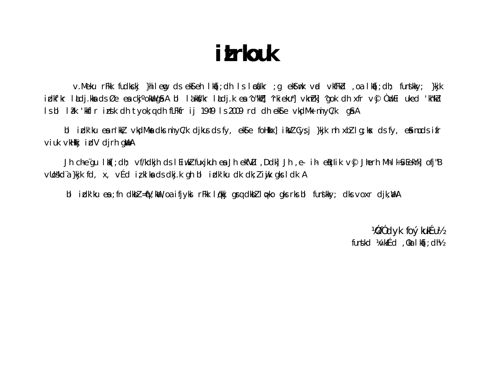## **itrkouk**

v.Meku rFkk fudkckj }hilemg ds eksleh lka[;dh ls læá/kr ;g ekstmk væl vkfFkd ,oa lka[;dh; funskky; }kjk idkikr lådj.kka ds Øe ea ckj°okkligå A bl låkks/kr lådj.k ea ^o"kkt] ^rkieku\*] vkntk] ^gok dh xfr v¶ ÒndEi uked 'kh"kd Is bl I ak 'kkflr insk dh tyok; q dh fLFkfr ij 1949 Is 2009 rd dh ekse vkpdMk miyC/k ga A

bl idk'ku ean'kk, vkdMkadksmiyC/k djkusdsfy, ekste foHkkx] ikk/l Cysj }kjk nh xbllg;kx dsfy, esimudsifr Viuk VkHki idV dirh qwA

Jh che gu lhf[; dh; vf/kdkjh ds l Eiwki fuxjkuh ea Jh ekfVu , Ddk] Jh , e- ih eirlik v¶ Jherh Mhli\$vEekYk] ofj B vloškda }kjk fd, x, vÉd izklka ds dkj.k gh bl idk'ku dk dk; liwik gks ldk A

bi indk'ku ea ; fn dkbl =qV; kW , oa ifjyksi rFkk iqkkj grq dkbl iq-ko qks rks bi funskky; dks voxr dik, WiA

WÓfÓdyk foýkukÉu½ funskd ¼vk£Éd , 0ka l ka[; dh½